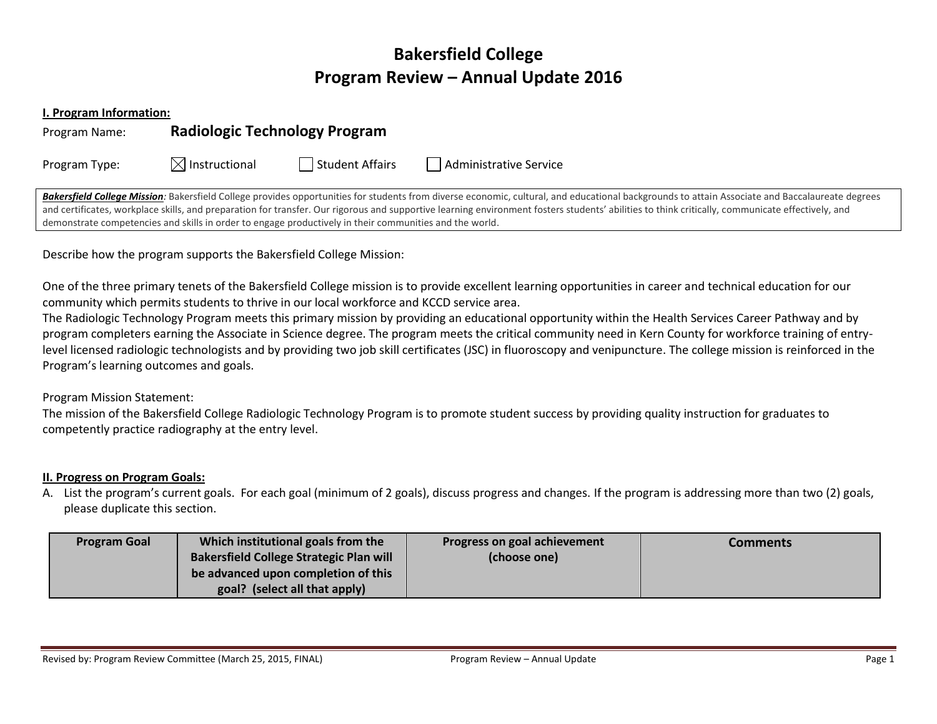# **Bakersfield College Program Review – Annual Update 2016**

**I. Program Information:**

| Program Name: | <b>Radiologic Technology Program</b> |                 |                        |
|---------------|--------------------------------------|-----------------|------------------------|
| Program Type: | $\boxtimes$ Instructional            | Student Affairs | Administrative Service |

Bakersfield College Mission: Bakersfield College provides opportunities for students from diverse economic, cultural, and educational backgrounds to attain Associate and Baccalaureate degrees and certificates, workplace skills, and preparation for transfer. Our rigorous and supportive learning environment fosters students' abilities to think critically, communicate effectively, and demonstrate competencies and skills in order to engage productively in their communities and the world.

Describe how the program supports the Bakersfield College Mission:

One of the three primary tenets of the Bakersfield College mission is to provide excellent learning opportunities in career and technical education for our community which permits students to thrive in our local workforce and KCCD service area.

The Radiologic Technology Program meets this primary mission by providing an educational opportunity within the Health Services Career Pathway and by program completers earning the Associate in Science degree. The program meets the critical community need in Kern County for workforce training of entrylevel licensed radiologic technologists and by providing two job skill certificates (JSC) in fluoroscopy and venipuncture. The college mission is reinforced in the Program's learning outcomes and goals.

Program Mission Statement:

The mission of the Bakersfield College Radiologic Technology Program is to promote student success by providing quality instruction for graduates to competently practice radiography at the entry level.

## **II. Progress on Program Goals:**

A. List the program's current goals. For each goal (minimum of 2 goals), discuss progress and changes. If the program is addressing more than two (2) goals, please duplicate this section.

| <b>Program Goal</b> | Which institutional goals from the             | Progress on goal achievement | Comments |
|---------------------|------------------------------------------------|------------------------------|----------|
|                     | <b>Bakersfield College Strategic Plan will</b> | (choose one)                 |          |
|                     | be advanced upon completion of this            |                              |          |
|                     | goal? (select all that apply)                  |                              |          |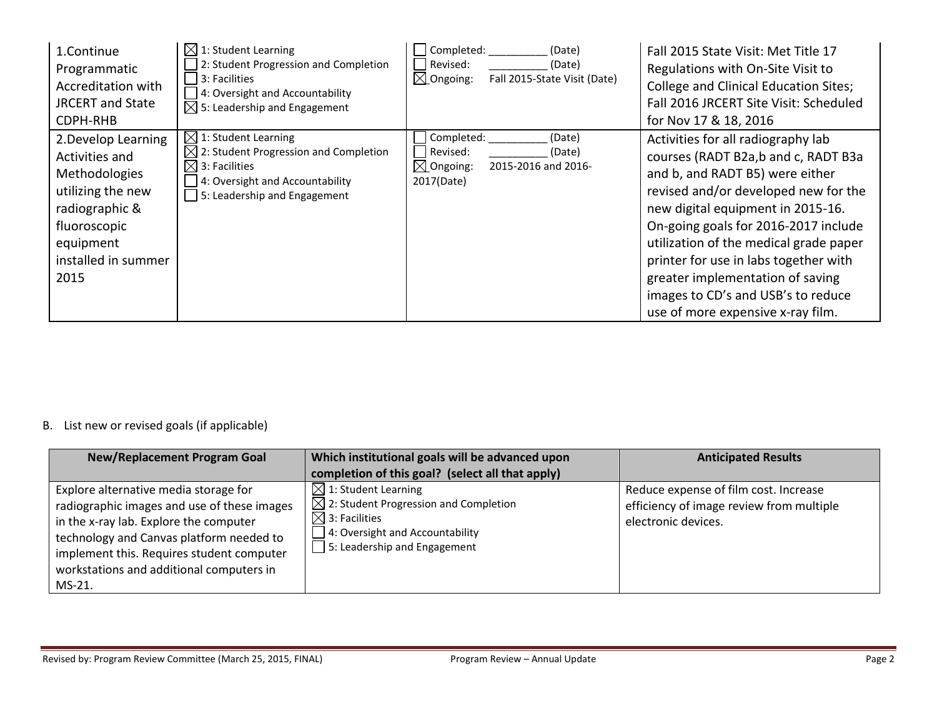| 1.Continue<br>Programmatic<br>Accreditation with<br><b>JRCERT</b> and State<br>CDPH-RHB                                                                   | $\boxtimes$ 1: Student Learning<br>2: Student Progression and Completion<br>3: Facilities<br>4: Oversight and Accountability<br>$\boxtimes$ 5: Leadership and Engagement                     | Completed:<br>(Date)<br>Revised:<br>(Date)<br>$\boxtimes$ Ongoing:<br>Fall 2015-State Visit (Date)      | Fall 2015 State Visit: Met Title 17<br>Regulations with On-Site Visit to<br><b>College and Clinical Education Sites;</b><br>Fall 2016 JRCERT Site Visit: Scheduled<br>for Nov 17 & 18, 2016                                                                                                                                                                                                                                         |
|-----------------------------------------------------------------------------------------------------------------------------------------------------------|----------------------------------------------------------------------------------------------------------------------------------------------------------------------------------------------|---------------------------------------------------------------------------------------------------------|-------------------------------------------------------------------------------------------------------------------------------------------------------------------------------------------------------------------------------------------------------------------------------------------------------------------------------------------------------------------------------------------------------------------------------------|
| 2. Develop Learning<br>Activities and<br>Methodologies<br>utilizing the new<br>radiographic &<br>fluoroscopic<br>equipment<br>installed in summer<br>2015 | $\boxtimes$ 1: Student Learning<br>$\boxtimes$ 2: Student Progression and Completion<br>$\boxtimes$ 3: Facilities<br>4: Oversight and Accountability<br>$\vert$ 5: Leadership and Engagement | Completed:<br>(Date)<br>Revised:<br>(Date)<br>$\boxtimes$ Ongoing:<br>2015-2016 and 2016-<br>2017(Date) | Activities for all radiography lab<br>courses (RADT B2a,b and c, RADT B3a<br>and b, and RADT B5) were either<br>revised and/or developed new for the<br>new digital equipment in 2015-16.<br>On-going goals for 2016-2017 include<br>utilization of the medical grade paper<br>printer for use in labs together with<br>greater implementation of saving<br>images to CD's and USB's to reduce<br>use of more expensive x-ray film. |

# B. List new or revised goals (if applicable)

| <b>New/Replacement Program Goal</b>                                                                                                                                                                                                                                           | Which institutional goals will be advanced upon<br>completion of this goal? (select all that apply)                                                                                         | <b>Anticipated Results</b>                                                                               |
|-------------------------------------------------------------------------------------------------------------------------------------------------------------------------------------------------------------------------------------------------------------------------------|---------------------------------------------------------------------------------------------------------------------------------------------------------------------------------------------|----------------------------------------------------------------------------------------------------------|
| Explore alternative media storage for<br>radiographic images and use of these images<br>in the x-ray lab. Explore the computer<br>technology and Canvas platform needed to<br>implement this. Requires student computer<br>workstations and additional computers in<br>MS-21. | $\boxtimes$ 1: Student Learning<br>$\boxtimes$ 2: Student Progression and Completion<br>$\boxtimes$ 3: Facilities<br>4: Oversight and Accountability<br>$\Box$ 5: Leadership and Engagement | Reduce expense of film cost. Increase<br>efficiency of image review from multiple<br>electronic devices. |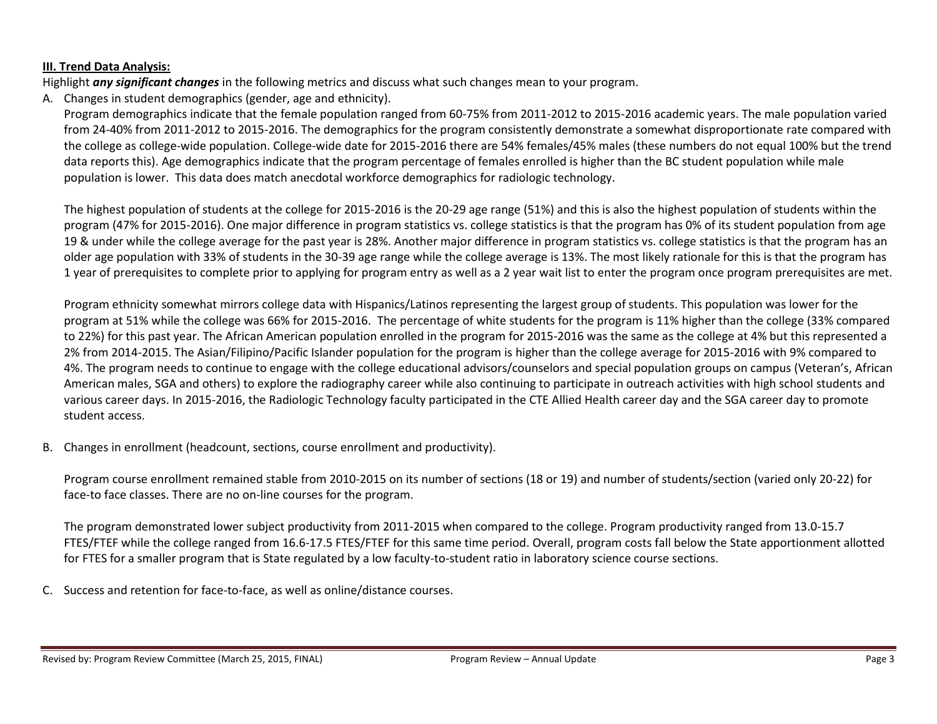#### **III. Trend Data Analysis:**

Highlight *any significant changes* in the following metrics and discuss what such changes mean to your program.

A. Changes in student demographics (gender, age and ethnicity).

Program demographics indicate that the female population ranged from 60-75% from 2011-2012 to 2015-2016 academic years. The male population varied from 24-40% from 2011-2012 to 2015-2016. The demographics for the program consistently demonstrate a somewhat disproportionate rate compared with the college as college-wide population. College-wide date for 2015-2016 there are 54% females/45% males (these numbers do not equal 100% but the trend data reports this). Age demographics indicate that the program percentage of females enrolled is higher than the BC student population while male population is lower. This data does match anecdotal workforce demographics for radiologic technology.

The highest population of students at the college for 2015-2016 is the 20-29 age range (51%) and this is also the highest population of students within the program (47% for 2015-2016). One major difference in program statistics vs. college statistics is that the program has 0% of its student population from age 19 & under while the college average for the past year is 28%. Another major difference in program statistics vs. college statistics is that the program has an older age population with 33% of students in the 30-39 age range while the college average is 13%. The most likely rationale for this is that the program has 1 year of prerequisites to complete prior to applying for program entry as well as a 2 year wait list to enter the program once program prerequisites are met.

Program ethnicity somewhat mirrors college data with Hispanics/Latinos representing the largest group of students. This population was lower for the program at 51% while the college was 66% for 2015-2016. The percentage of white students for the program is 11% higher than the college (33% compared to 22%) for this past year. The African American population enrolled in the program for 2015-2016 was the same as the college at 4% but this represented a 2% from 2014-2015. The Asian/Filipino/Pacific Islander population for the program is higher than the college average for 2015-2016 with 9% compared to 4%. The program needs to continue to engage with the college educational advisors/counselors and special population groups on campus (Veteran's, African American males, SGA and others) to explore the radiography career while also continuing to participate in outreach activities with high school students and various career days. In 2015-2016, the Radiologic Technology faculty participated in the CTE Allied Health career day and the SGA career day to promote student access.

B. Changes in enrollment (headcount, sections, course enrollment and productivity).

Program course enrollment remained stable from 2010-2015 on its number of sections (18 or 19) and number of students/section (varied only 20-22) for face-to face classes. There are no on-line courses for the program.

The program demonstrated lower subject productivity from 2011-2015 when compared to the college. Program productivity ranged from 13.0-15.7 FTES/FTEF while the college ranged from 16.6-17.5 FTES/FTEF for this same time period. Overall, program costs fall below the State apportionment allotted for FTES for a smaller program that is State regulated by a low faculty-to-student ratio in laboratory science course sections.

C. Success and retention for face-to-face, as well as online/distance courses.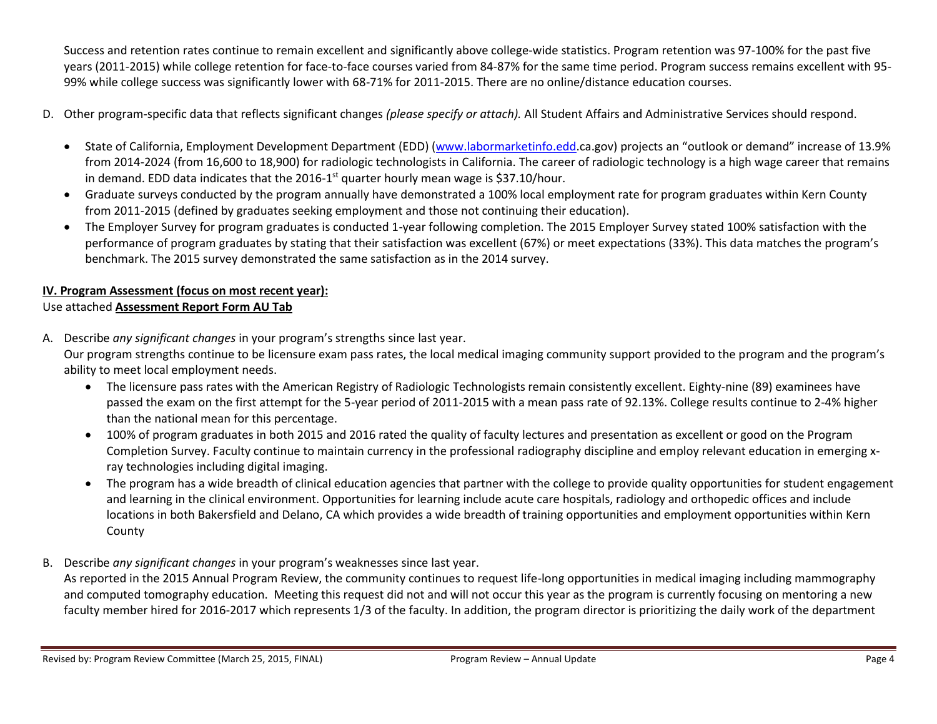Success and retention rates continue to remain excellent and significantly above college-wide statistics. Program retention was 97-100% for the past five years (2011-2015) while college retention for face-to-face courses varied from 84-87% for the same time period. Program success remains excellent with 95- 99% while college success was significantly lower with 68-71% for 2011-2015. There are no online/distance education courses.

- D. Other program-specific data that reflects significant changes *(please specify or attach).* All Student Affairs and Administrative Services should respond.
	- State of California, Employment Development Department (EDD) [\(www.labormarketinfo.edd.](http://www.labormarketinfo.edd/)ca.gov) projects an "outlook or demand" increase of 13.9% from 2014-2024 (from 16,600 to 18,900) for radiologic technologists in California. The career of radiologic technology is a high wage career that remains in demand. EDD data indicates that the 2016-1<sup>st</sup> quarter hourly mean wage is \$37.10/hour.
	- Graduate surveys conducted by the program annually have demonstrated a 100% local employment rate for program graduates within Kern County from 2011-2015 (defined by graduates seeking employment and those not continuing their education).
	- The Employer Survey for program graduates is conducted 1-year following completion. The 2015 Employer Survey stated 100% satisfaction with the performance of program graduates by stating that their satisfaction was excellent (67%) or meet expectations (33%). This data matches the program's benchmark. The 2015 survey demonstrated the same satisfaction as in the 2014 survey.

# **IV. Program Assessment (focus on most recent year):**

## Use attached **Assessment Report Form AU Tab**

A. Describe *any significant changes* in your program's strengths since last year.

Our program strengths continue to be licensure exam pass rates, the local medical imaging community support provided to the program and the program's ability to meet local employment needs.

- The licensure pass rates with the American Registry of Radiologic Technologists remain consistently excellent. Eighty-nine (89) examinees have passed the exam on the first attempt for the 5-year period of 2011-2015 with a mean pass rate of 92.13%. College results continue to 2-4% higher than the national mean for this percentage.
- 100% of program graduates in both 2015 and 2016 rated the quality of faculty lectures and presentation as excellent or good on the Program Completion Survey. Faculty continue to maintain currency in the professional radiography discipline and employ relevant education in emerging xray technologies including digital imaging.
- The program has a wide breadth of clinical education agencies that partner with the college to provide quality opportunities for student engagement and learning in the clinical environment. Opportunities for learning include acute care hospitals, radiology and orthopedic offices and include locations in both Bakersfield and Delano, CA which provides a wide breadth of training opportunities and employment opportunities within Kern County
- B. Describe *any significant changes* in your program's weaknesses since last year.

As reported in the 2015 Annual Program Review, the community continues to request life-long opportunities in medical imaging including mammography and computed tomography education. Meeting this request did not and will not occur this year as the program is currently focusing on mentoring a new faculty member hired for 2016-2017 which represents 1/3 of the faculty. In addition, the program director is prioritizing the daily work of the department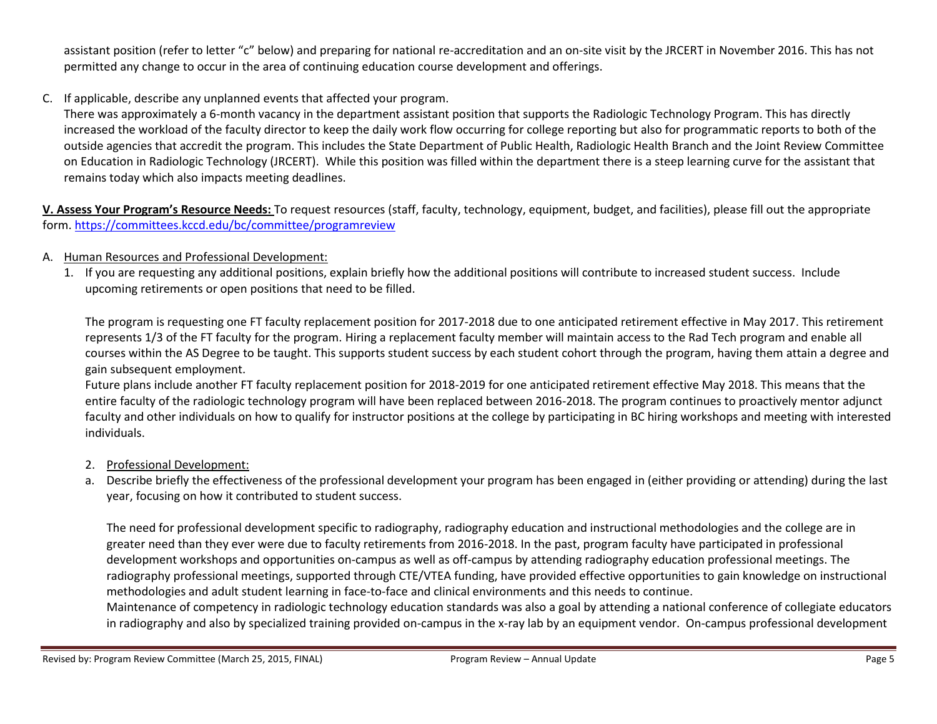assistant position (refer to letter "c" below) and preparing for national re-accreditation and an on-site visit by the JRCERT in November 2016. This has not permitted any change to occur in the area of continuing education course development and offerings.

C. If applicable, describe any unplanned events that affected your program.

There was approximately a 6-month vacancy in the department assistant position that supports the Radiologic Technology Program. This has directly increased the workload of the faculty director to keep the daily work flow occurring for college reporting but also for programmatic reports to both of the outside agencies that accredit the program. This includes the State Department of Public Health, Radiologic Health Branch and the Joint Review Committee on Education in Radiologic Technology (JRCERT). While this position was filled within the department there is a steep learning curve for the assistant that remains today which also impacts meeting deadlines.

**V. Assess Your Program's Resource Needs:** To request resources (staff, faculty, technology, equipment, budget, and facilities), please fill out the appropriate form.<https://committees.kccd.edu/bc/committee/programreview>

- A. Human Resources and Professional Development:
	- 1. If you are requesting any additional positions, explain briefly how the additional positions will contribute to increased student success. Include upcoming retirements or open positions that need to be filled.

The program is requesting one FT faculty replacement position for 2017-2018 due to one anticipated retirement effective in May 2017. This retirement represents 1/3 of the FT faculty for the program. Hiring a replacement faculty member will maintain access to the Rad Tech program and enable all courses within the AS Degree to be taught. This supports student success by each student cohort through the program, having them attain a degree and gain subsequent employment.

Future plans include another FT faculty replacement position for 2018-2019 for one anticipated retirement effective May 2018. This means that the entire faculty of the radiologic technology program will have been replaced between 2016-2018. The program continues to proactively mentor adjunct faculty and other individuals on how to qualify for instructor positions at the college by participating in BC hiring workshops and meeting with interested individuals.

- 2. Professional Development:
- a. Describe briefly the effectiveness of the professional development your program has been engaged in (either providing or attending) during the last year, focusing on how it contributed to student success.

The need for professional development specific to radiography, radiography education and instructional methodologies and the college are in greater need than they ever were due to faculty retirements from 2016-2018. In the past, program faculty have participated in professional development workshops and opportunities on-campus as well as off-campus by attending radiography education professional meetings. The radiography professional meetings, supported through CTE/VTEA funding, have provided effective opportunities to gain knowledge on instructional methodologies and adult student learning in face-to-face and clinical environments and this needs to continue.

Maintenance of competency in radiologic technology education standards was also a goal by attending a national conference of collegiate educators in radiography and also by specialized training provided on-campus in the x-ray lab by an equipment vendor. On-campus professional development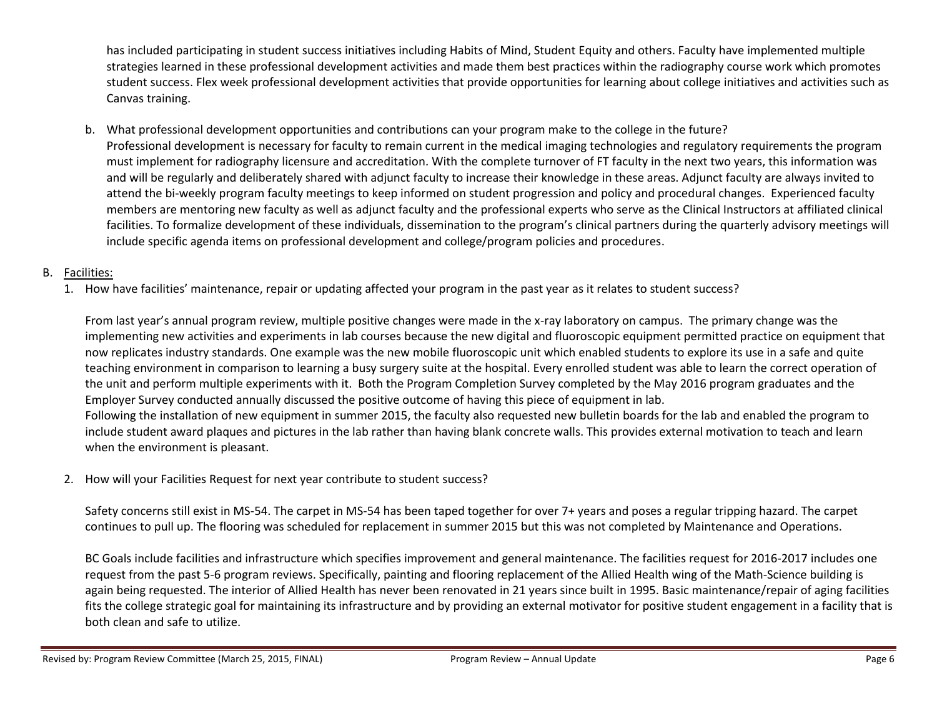has included participating in student success initiatives including Habits of Mind, Student Equity and others. Faculty have implemented multiple strategies learned in these professional development activities and made them best practices within the radiography course work which promotes student success. Flex week professional development activities that provide opportunities for learning about college initiatives and activities such as Canvas training.

b. What professional development opportunities and contributions can your program make to the college in the future? Professional development is necessary for faculty to remain current in the medical imaging technologies and regulatory requirements the program must implement for radiography licensure and accreditation. With the complete turnover of FT faculty in the next two years, this information was and will be regularly and deliberately shared with adjunct faculty to increase their knowledge in these areas. Adjunct faculty are always invited to attend the bi-weekly program faculty meetings to keep informed on student progression and policy and procedural changes. Experienced faculty members are mentoring new faculty as well as adjunct faculty and the professional experts who serve as the Clinical Instructors at affiliated clinical facilities. To formalize development of these individuals, dissemination to the program's clinical partners during the quarterly advisory meetings will include specific agenda items on professional development and college/program policies and procedures.

## B. Facilities:

1. How have facilities' maintenance, repair or updating affected your program in the past year as it relates to student success?

From last year's annual program review, multiple positive changes were made in the x-ray laboratory on campus. The primary change was the implementing new activities and experiments in lab courses because the new digital and fluoroscopic equipment permitted practice on equipment that now replicates industry standards. One example was the new mobile fluoroscopic unit which enabled students to explore its use in a safe and quite teaching environment in comparison to learning a busy surgery suite at the hospital. Every enrolled student was able to learn the correct operation of the unit and perform multiple experiments with it. Both the Program Completion Survey completed by the May 2016 program graduates and the Employer Survey conducted annually discussed the positive outcome of having this piece of equipment in lab. Following the installation of new equipment in summer 2015, the faculty also requested new bulletin boards for the lab and enabled the program to include student award plaques and pictures in the lab rather than having blank concrete walls. This provides external motivation to teach and learn when the environment is pleasant.

## 2. How will your Facilities Request for next year contribute to student success?

Safety concerns still exist in MS-54. The carpet in MS-54 has been taped together for over 7+ years and poses a regular tripping hazard. The carpet continues to pull up. The flooring was scheduled for replacement in summer 2015 but this was not completed by Maintenance and Operations.

BC Goals include facilities and infrastructure which specifies improvement and general maintenance. The facilities request for 2016-2017 includes one request from the past 5-6 program reviews. Specifically, painting and flooring replacement of the Allied Health wing of the Math-Science building is again being requested. The interior of Allied Health has never been renovated in 21 years since built in 1995. Basic maintenance/repair of aging facilities fits the college strategic goal for maintaining its infrastructure and by providing an external motivator for positive student engagement in a facility that is both clean and safe to utilize.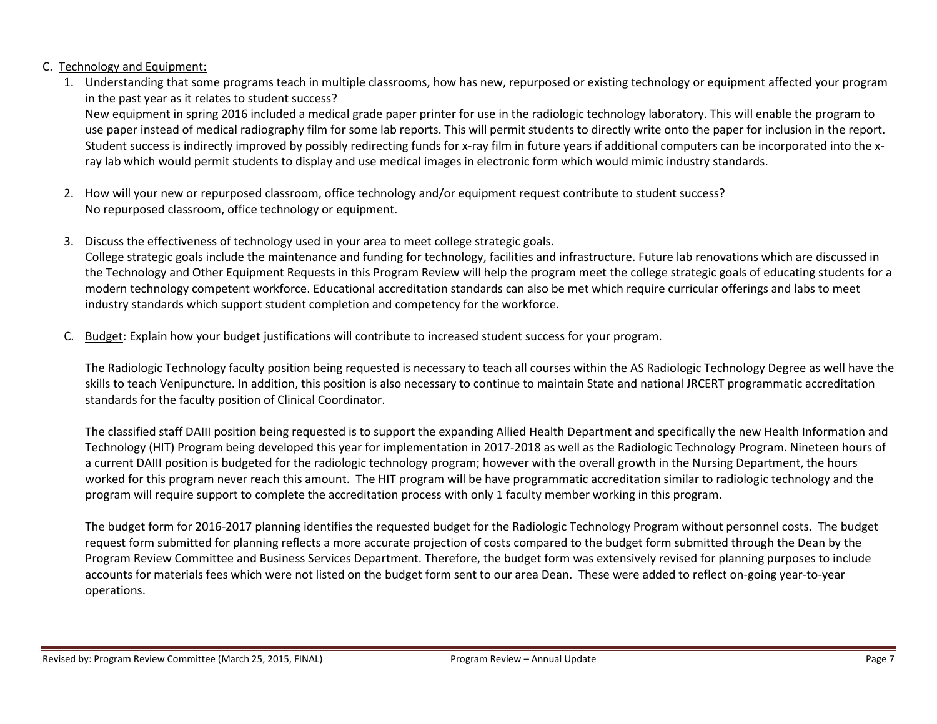#### C. Technology and Equipment:

1. Understanding that some programs teach in multiple classrooms, how has new, repurposed or existing technology or equipment affected your program in the past year as it relates to student success?

New equipment in spring 2016 included a medical grade paper printer for use in the radiologic technology laboratory. This will enable the program to use paper instead of medical radiography film for some lab reports. This will permit students to directly write onto the paper for inclusion in the report. Student success is indirectly improved by possibly redirecting funds for x-ray film in future years if additional computers can be incorporated into the xray lab which would permit students to display and use medical images in electronic form which would mimic industry standards.

- 2. How will your new or repurposed classroom, office technology and/or equipment request contribute to student success? No repurposed classroom, office technology or equipment.
- 3. Discuss the effectiveness of technology used in your area to meet college strategic goals. College strategic goals include the maintenance and funding for technology, facilities and infrastructure. Future lab renovations which are discussed in the Technology and Other Equipment Requests in this Program Review will help the program meet the college strategic goals of educating students for a modern technology competent workforce. Educational accreditation standards can also be met which require curricular offerings and labs to meet industry standards which support student completion and competency for the workforce.
- C. Budget: Explain how your budget justifications will contribute to increased student success for your program.

The Radiologic Technology faculty position being requested is necessary to teach all courses within the AS Radiologic Technology Degree as well have the skills to teach Venipuncture. In addition, this position is also necessary to continue to maintain State and national JRCERT programmatic accreditation standards for the faculty position of Clinical Coordinator.

The classified staff DAIII position being requested is to support the expanding Allied Health Department and specifically the new Health Information and Technology (HIT) Program being developed this year for implementation in 2017-2018 as well as the Radiologic Technology Program. Nineteen hours of a current DAIII position is budgeted for the radiologic technology program; however with the overall growth in the Nursing Department, the hours worked for this program never reach this amount. The HIT program will be have programmatic accreditation similar to radiologic technology and the program will require support to complete the accreditation process with only 1 faculty member working in this program.

The budget form for 2016-2017 planning identifies the requested budget for the Radiologic Technology Program without personnel costs. The budget request form submitted for planning reflects a more accurate projection of costs compared to the budget form submitted through the Dean by the Program Review Committee and Business Services Department. Therefore, the budget form was extensively revised for planning purposes to include accounts for materials fees which were not listed on the budget form sent to our area Dean. These were added to reflect on-going year-to-year operations.